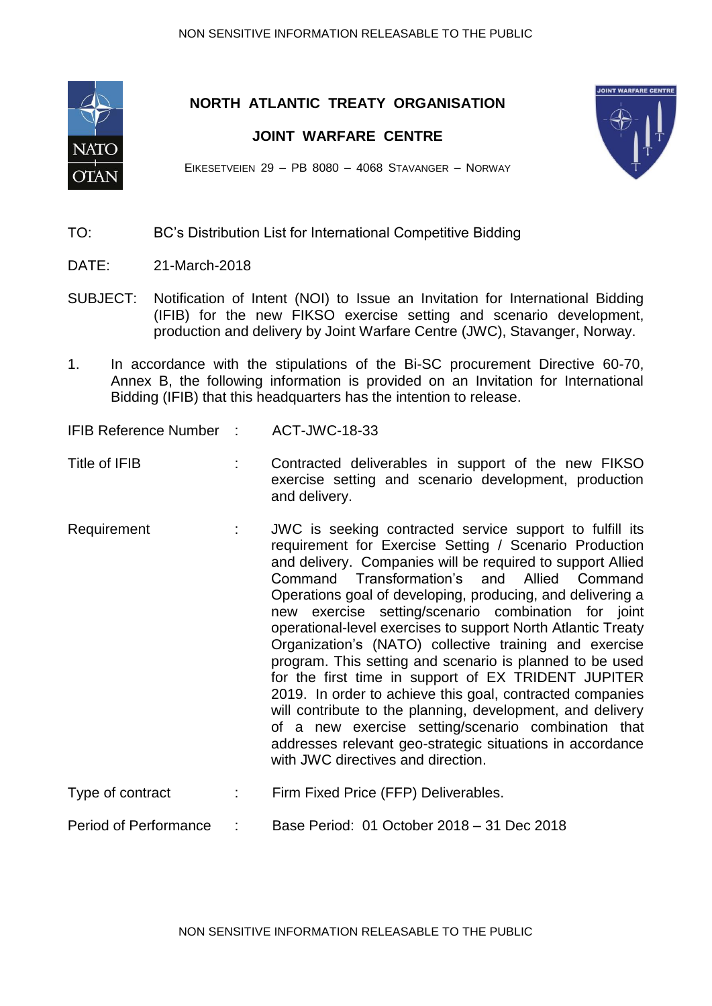

**NORTH ATLANTIC TREATY ORGANISATION**

## **JOINT WARFARE CENTRE**



EIKESETVEIEN 29 – PB 8080 – 4068 STAVANGER – NORWAY

## TO: BC's Distribution List for International Competitive Bidding

- DATE: 21-March-2018
- SUBJECT: Notification of Intent (NOI) to Issue an Invitation for International Bidding (IFIB) for the new FIKSO exercise setting and scenario development, production and delivery by Joint Warfare Centre (JWC), Stavanger, Norway.
- 1. In accordance with the stipulations of the Bi-SC procurement Directive 60-70, Annex B, the following information is provided on an Invitation for International Bidding (IFIB) that this headquarters has the intention to release.
- IFIB Reference Number : ACT-JWC-18-33
- Title of IFIB : Contracted deliverables in support of the new FIKSO exercise setting and scenario development, production and delivery.
- Requirement : JWC is seeking contracted service support to fulfill its requirement for Exercise Setting / Scenario Production and delivery. Companies will be required to support Allied Command Transformation's and Allied Command Operations goal of developing, producing, and delivering a new exercise setting/scenario combination for joint operational-level exercises to support North Atlantic Treaty Organization's (NATO) collective training and exercise program. This setting and scenario is planned to be used for the first time in support of EX TRIDENT JUPITER 2019. In order to achieve this goal, contracted companies will contribute to the planning, development, and delivery of a new exercise setting/scenario combination that addresses relevant geo-strategic situations in accordance with JWC directives and direction.
- Type of contract : Firm Fixed Price (FFP) Deliverables.

Period of Performance : Base Period: 01 October 2018 – 31 Dec 2018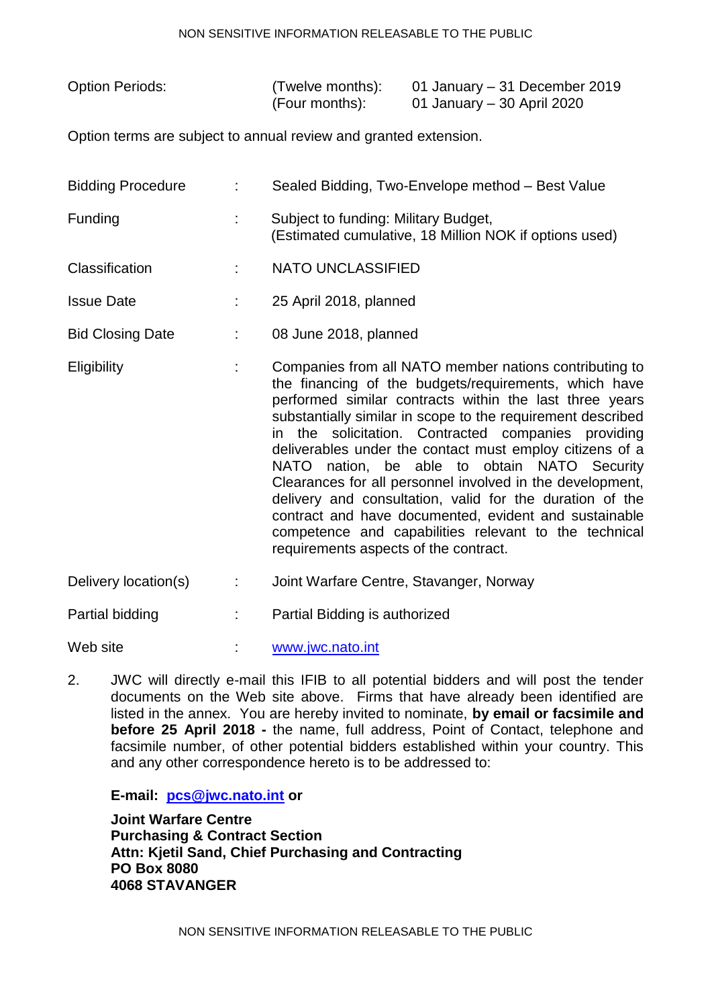## NON SENSITIVE INFORMATION RELEASABLE TO THE PUBLIC

| <b>Option Periods:</b> | (Twelve months): | 01 January – 31 December 2019 |
|------------------------|------------------|-------------------------------|
|                        | (Four months):   | 01 January – 30 April 2020    |

Option terms are subject to annual review and granted extension.

| <b>Bidding Procedure</b> | Sealed Bidding, Two-Envelope method - Best Value                                               |
|--------------------------|------------------------------------------------------------------------------------------------|
| <b>Funding</b>           | Subject to funding: Military Budget,<br>(Estimated cumulative, 18 Million NOK if options used) |

- Classification : NATO UNCLASSIFIED
- Issue Date : 25 April 2018, planned
- Bid Closing Date : 08 June 2018, planned
- Eligibility : Companies from all NATO member nations contributing to the financing of the budgets/requirements, which have performed similar contracts within the last three years substantially similar in scope to the requirement described in the solicitation. Contracted companies providing deliverables under the contact must employ citizens of a NATO nation, be able to obtain NATO Security Clearances for all personnel involved in the development, delivery and consultation, valid for the duration of the contract and have documented, evident and sustainable competence and capabilities relevant to the technical requirements aspects of the contract.
- Delivery location(s) : Joint Warfare Centre, Stavanger, Norway

Partial bidding : Partial Bidding is authorized

Web site  $www.iwc.nato.int$ 

2. JWC will directly e-mail this IFIB to all potential bidders and will post the tender documents on the Web site above. Firms that have already been identified are listed in the annex. You are hereby invited to nominate, **by email or facsimile and before 25 April 2018 -** the name, full address, Point of Contact, telephone and facsimile number, of other potential bidders established within your country. This and any other correspondence hereto is to be addressed to:

**E-mail: [pcs@jwc.nato.int](mailto:pcs@jwc.nato.int) or**

**Joint Warfare Centre Purchasing & Contract Section Attn: Kjetil Sand, Chief Purchasing and Contracting PO Box 8080 4068 STAVANGER**